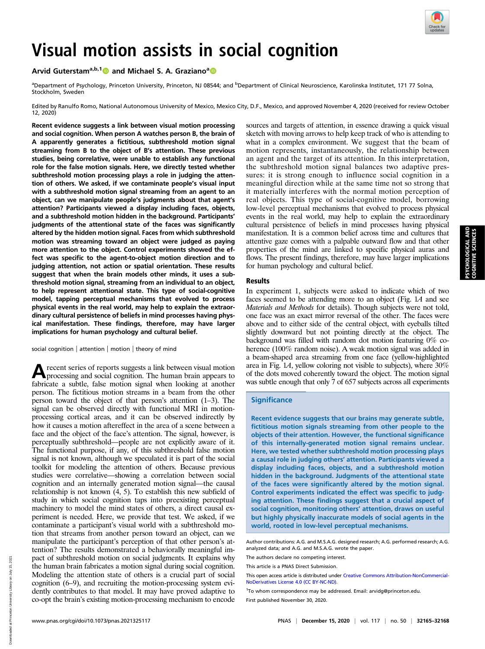

# Arvid Guterstam<sup>a,b,1</sup> a[n](https://orcid.org/0000-0002-7727-3475)d Michael S. A. Graziano<sup>a</sup> and Michael S. A. Graziano<sup>a</sup>

<sup>a</sup>Department of Psychology, Princeton University, Princeton, NJ 08544; and <sup>b</sup>Department of Clinical Neuroscience, Karolinska Institutet, 171 77 Solna, Stockholm, Sweden

Edited by Ranulfo Romo, National Autonomous University of Mexico, Mexico City, D.F., Mexico, and approved November 4, 2020 (received for review October 12, 2020)

Recent evidence suggests a link between visual motion processing and social cognition. When person A watches person B, the brain of A apparently generates a fictitious, subthreshold motion signal streaming from B to the object of B's attention. These previous studies, being correlative, were unable to establish any functional role for the false motion signals. Here, we directly tested whether subthreshold motion processing plays a role in judging the attention of others. We asked, if we contaminate people's visual input with a subthreshold motion signal streaming from an agent to an object, can we manipulate people's judgments about that agent's attention? Participants viewed a display including faces, objects, and a subthreshold motion hidden in the background. Participants' judgments of the attentional state of the faces was significantly altered by the hidden motion signal. Faces from which subthreshold motion was streaming toward an object were judged as paying more attention to the object. Control experiments showed the effect was specific to the agent-to-object motion direction and to judging attention, not action or spatial orientation. These results suggest that when the brain models other minds, it uses a subthreshold motion signal, streaming from an individual to an object, to help represent attentional state. This type of social-cognitive model, tapping perceptual mechanisms that evolved to process physical events in the real world, may help to explain the extraordinary cultural persistence of beliefs in mind processes having physical manifestation. These findings, therefore, may have larger implications for human psychology and cultural belief.

social cognition | attention | motion | theory of mind

Arecent series of reports suggests a link between visual motion processing and social cognition. The human brain appears to fabricate a subtle, false motion signal when looking at another person. The fictitious motion streams in a beam from the other person toward the object of that person's attention (1–3). The signal can be observed directly with functional MRI in motionprocessing cortical areas, and it can be observed indirectly by how it causes a motion aftereffect in the area of a scene between a face and the object of the face's attention. The signal, however, is perceptually subthreshold—people are not explicitly aware of it. The functional purpose, if any, of this subthreshold false motion signal is not known, although we speculated it is part of the social toolkit for modeling the attention of others. Because previous studies were correlative—showing a correlation between social cognition and an internally generated motion signal—the causal relationship is not known (4, 5). To establish this new subfield of study in which social cognition taps into preexisting perceptual machinery to model the mind states of others, a direct causal experiment is needed. Here, we provide that test. We asked, if we contaminate a participant's visual world with a subthreshold motion that streams from another person toward an object, can we manipulate the participant's perception of that other person's attention? The results demonstrated a behaviorally meaningful impact of subthreshold motion on social judgments. It explains why the human brain fabricates a motion signal during social cognition. Modeling the attention state of others is a crucial part of social cognition (6–9), and recruiting the motion-processing system evidently contributes to that model. It may have proved adaptive to co-opt the brain's existing motion-processing mechanism to encode

sources and targets of attention, in essence drawing a quick visual sketch with moving arrows to help keep track of who is attending to what in a complex environment. We suggest that the beam of motion represents, instantaneously, the relationship between an agent and the target of its attention. In this interpretation, the subthreshold motion signal balances two adaptive pressures: it is strong enough to influence social cognition in a meaningful direction while at the same time not so strong that it materially interferes with the normal motion perception of real objects. This type of social-cognitive model, borrowing low-level perceptual mechanisms that evolved to process physical events in the real world, may help to explain the extraordinary cultural persistence of beliefs in mind processes having physical manifestation. It is a common belief across time and cultures that attentive gaze comes with a palpable outward flow and that other properties of the mind are linked to specific physical auras and flows. The present findings, therefore, may have larger implications for human psychology and cultural belief.

# Results

In experiment 1, subjects were asked to indicate which of two faces seemed to be attending more to an object (Fig. 1A and see Materials and Methods for details). Though subjects were not told, one face was an exact mirror reversal of the other. The faces were above and to either side of the central object, with eyeballs tilted slightly downward but not pointing directly at the object. The background was filled with random dot motion featuring 0% coherence (100% random noise). A weak motion signal was added in a beam-shaped area streaming from one face (yellow-highlighted area in Fig. 1A, yellow coloring not visible to subjects), where 30% of the dots moved coherently toward the object. The motion signal was subtle enough that only 7 of 657 subjects across all experiments

# **Significance**

Recent evidence suggests that our brains may generate subtle, fictitious motion signals streaming from other people to the objects of their attention. However, the functional significance of this internally-generated motion signal remains unclear. Here, we tested whether subthreshold motion processing plays a causal role in judging others' attention. Participants viewed a display including faces, objects, and a subthreshold motion hidden in the background. Judgments of the attentional state of the faces were significantly altered by the motion signal. Control experiments indicated the effect was specific to judging attention. These findings suggest that a crucial aspect of social cognition, monitoring others' attention, draws on useful but highly physically inaccurate models of social agents in the world, rooted in low-level perceptual mechanisms.

Author contributions: A.G. and M.S.A.G. designed research; A.G. performed research; A.G. analyzed data; and A.G. and M.S.A.G. wrote the paper.

The authors declare no competing interest.

This article is a PNAS Direct Submission.

<sup>1</sup>To whom correspondence may be addressed. Email: [arvidg@princeton.edu](mailto:arvidg@princeton.edu).

First published November 30, 2020.

This open access article is distributed under [Creative Commons Attribution-NonCommercial-](https://creativecommons.org/licenses/by-nc-nd/4.0/)[NoDerivatives License 4.0 \(CC BY-NC-ND\).](https://creativecommons.org/licenses/by-nc-nd/4.0/)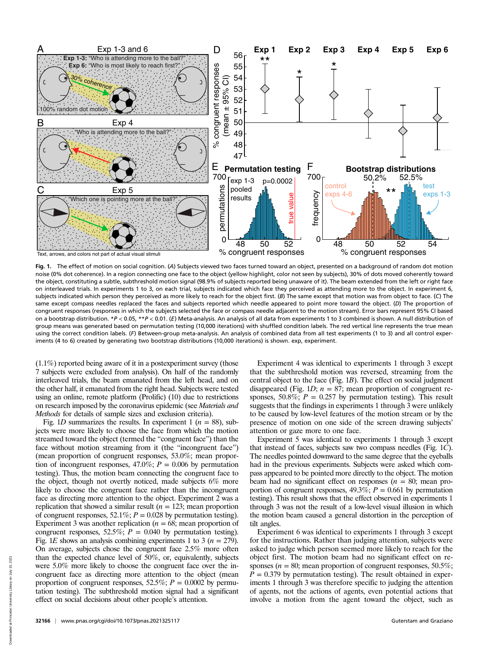

Fig. 1. The effect of motion on social cognition. (A) Subjects viewed two faces turned toward an object, presented on a background of random dot motion noise (0% dot coherence). In a region connecting one face to the object (yellow highlight, color not seen by subjects), 30% of dots moved coherently toward the object, constituting a subtle, subthreshold motion signal (98.9% of subjects reported being unaware of it). The beam extended from the left or right face on interleaved trials. In experiments 1 to 3, on each trial, subjects indicated which face they perceived as attending more to the object. In experiment 6, subjects indicated which person they perceived as more likely to reach for the object first. (B) The same except that motion was from object to face. (C) The same except compass needles replaced the faces and subjects reported which needle appeared to point more toward the object. (D) The proportion of congruent responses (responses in which the subjects selected the face or compass needle adjacent to the motion stream). Error bars represent 95% CI based on a bootstrap distribution. \*P < 0.05, \*\*P < 0.01. (E) Meta-analysis. An analysis of all data from experiments 1 to 3 combined is shown. A null distribution of group means was generated based on permutation testing (10,000 iterations) with shuffled condition labels. The red vertical line represents the true mean using the correct condition labels. (F) Between-group meta-analysis. An analysis of combined data from all test experiments (1 to 3) and all control experiments (4 to 6) created by generating two bootstrap distributions (10,000 iterations) is shown. exp, experiment.

(1.1%) reported being aware of it in a postexperiment survey (those 7 subjects were excluded from analysis). On half of the randomly interleaved trials, the beam emanated from the left head, and on the other half, it emanated from the right head. Subjects were tested using an online, remote platform (Prolific) (10) due to restrictions on research imposed by the coronavirus epidemic (see Materials and Methods for details of sample sizes and exclusion criteria).

Fig. 1D summarizes the results. In experiment 1 ( $n = 88$ ), subjects were more likely to choose the face from which the motion streamed toward the object (termed the "congruent face") than the face without motion streaming from it (the "incongruent face") (mean proportion of congruent responses, 53.0%; mean proportion of incongruent responses,  $47.0\%$ ;  $P = 0.006$  by permutation testing). Thus, the motion beam connecting the congruent face to the object, though not overtly noticed, made subjects 6% more likely to choose the congruent face rather than the incongruent face as directing more attention to the object. Experiment 2 was a replication that showed a similar result ( $n = 123$ ; mean proportion of congruent responses, 52.1%;  $P = 0.028$  by permutation testing). Experiment 3 was another replication  $(n = 68)$ ; mean proportion of congruent responses, 52.5%;  $P = 0.040$  by permutation testing). Fig. 1E shows an analysis combining experiments 1 to 3 ( $n = 279$ ). On average, subjects chose the congruent face 2.5% more often than the expected chance level of 50%, or, equivalently, subjects were 5.0% more likely to choose the congruent face over the incongruent face as directing more attention to the object (mean proportion of congruent responses,  $52.5\%$ ;  $P = 0.0002$  by permutation testing). The subthreshold motion signal had a significant effect on social decisions about other people's attention.

Experiment 4 was identical to experiments 1 through 3 except that the subthreshold motion was reversed, streaming from the central object to the face (Fig.  $1B$ ). The effect on social judgment disappeared (Fig. 1*D*;  $n = 87$ ; mean proportion of congruent responses, 50.8%;  $P = 0.257$  by permutation testing). This result suggests that the findings in experiments 1 through 3 were unlikely to be caused by low-level features of the motion stream or by the presence of motion on one side of the screen drawing subjects' attention or gaze more to one face.

Experiment 5 was identical to experiments 1 through 3 except that instead of faces, subjects saw two compass needles (Fig. 1C). The needles pointed downward to the same degree that the eyeballs had in the previous experiments. Subjects were asked which compass appeared to be pointed more directly to the object. The motion beam had no significant effect on responses ( $n = 80$ ; mean proportion of congruent responses,  $49.3\%$ ;  $P = 0.661$  by permutation testing). This result shows that the effect observed in experiments 1 through 3 was not the result of a low-level visual illusion in which the motion beam caused a general distortion in the perception of tilt angles.

Experiment 6 was identical to experiments 1 through 3 except for the instructions. Rather than judging attention, subjects were asked to judge which person seemed more likely to reach for the object first. The motion beam had no significant effect on responses ( $n = 80$ ; mean proportion of congruent responses, 50.5%;  $\hat{P} = 0.379$  by permutation testing). The result obtained in experiments 1 through 3 was therefore specific to judging the attention of agents, not the actions of agents, even potential actions that involve a motion from the agent toward the object, such as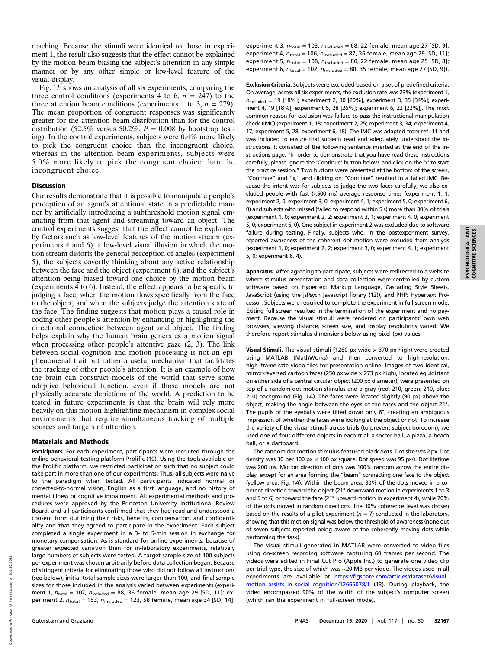reaching. Because the stimuli were identical to those in experiment 1, the result also suggests that the effect cannot be explained by the motion beam biasing the subject's attention in any simple manner or by any other simple or low-level feature of the visual display.

Fig. 1F shows an analysis of all six experiments, comparing the three control conditions (experiments 4 to 6,  $n = 247$ ) to the three attention beam conditions (experiments 1 to 3,  $n = 279$ ). The mean proportion of congruent responses was significantly greater for the attention beam distribution than for the control distribution (52.5% versus 50.2%,  $P = 0.008$  by bootstrap testing). In the control experiments, subjects were 0.4% more likely to pick the congruent choice than the incongruent choice, whereas in the attention beam experiments, subjects were 5.0% more likely to pick the congruent choice than the incongruent choice.

## **Discussion**

Our results demonstrate that it is possible to manipulate people's perception of an agent's attentional state in a predictable manner by artificially introducing a subthreshold motion signal emanating from that agent and streaming toward an object. The control experiments suggest that the effect cannot be explained by factors such as low-level features of the motion stream (experiments 4 and 6), a low-level visual illusion in which the motion stream distorts the general perception of angles (experiment 5), the subjects covertly thinking about any active relationship between the face and the object (experiment 6), and the subject's attention being biased toward one choice by the motion beam (experiments 4 to 6). Instead, the effect appears to be specific to judging a face, when the motion flows specifically from the face to the object, and when the subjects judge the attention state of the face. The finding suggests that motion plays a causal role in coding other people's attention by enhancing or highlighting the directional connection between agent and object. The finding helps explain why the human brain generates a motion signal when processing other people's attentive gaze (2, 3). The link between social cognition and motion processing is not an epiphenomenal trait but rather a useful mechanism that facilitates the tracking of other people's attention. It is an example of how the brain can construct models of the world that serve some adaptive behavioral function, even if those models are not physically accurate depictions of the world. A prediction to be tested in future experiments is that the brain will rely more heavily on this motion-highlighting mechanism in complex social environments that require simultaneous tracking of multiple sources and targets of attention.

#### Materials and Methods

Participants. For each experiment, participants were recruited through the online behavioral testing platform Prolific (10). Using the tools available on the Prolific platform, we restricted participation such that no subject could take part in more than one of our experiments. Thus, all subjects were naive to the paradigm when tested. All participants indicated normal or corrected-to-normal vision, English as a first language, and no history of mental illness or cognitive impairment. All experimental methods and procedures were approved by the Princeton University Institutional Review Board, and all participants confirmed that they had read and understood a consent form outlining their risks, benefits, compensation, and confidentiality and that they agreed to participate in the experiment. Each subject completed a single experiment in a 3- to 5-min session in exchange for monetary compensation. As is standard for online experiments, because of greater expected variation than for in-laboratory experiments, relatively large numbers of subjects were tested. A target sample size of 100 subjects per experiment was chosen arbitrarily before data collection began. Because of stringent criteria for eliminating those who did not follow all instructions (see below), initial total sample sizes were larger than 100, and final sample sizes for those included in the analysis varied between experiments (experiment 1,  $n_{\text{total}} = 107$ ,  $n_{\text{included}} = 88$ , 36 female, mean age 29 [SD, 11]; experiment 2,  $n_{\text{total}} = 153$ ,  $n_{\text{included}} = 123$ , 58 female, mean age 34 [SD, 14]; experiment 3,  $n_{\text{total}} = 103$ ,  $n_{\text{included}} = 68$ , 22 female, mean age 27 [SD, 9]; experiment 4,  $n_{\text{total}} = 106$ ,  $n_{\text{included}} = 87$ , 36 female, mean age 29 [SD, 11]; experiment 5,  $n_{\text{total}} = 108$ ,  $n_{\text{included}} = 80$ , 22 female, mean age 25 [SD, 8]; experiment 6,  $n_{\text{total}} = 102$ ,  $n_{\text{included}} = 80$ , 35 female, mean age 27 [SD, 9]).

Exclusion Criteria. Subjects were excluded based on a set of predefined criteria. On average, across all six experiments, the exclusion rate was 23% (experiment 1,  $n_{\text{excluded}} = 19$  [18%]; experiment 2, 30 [20%], experiment 3, 35 [34%]; experiment 4, 19 [18%]; experiment 5, 28 [26%]; experiment 6, 22 [22%]). The most common reason for exclusion was failure to pass the instructional manipulation check (IMC) (experiment 1, 18; experiment 2, 25; experiment 3, 34; experiment 4, 17; experiment 5, 28; experiment 6, 18). The IMC was adapted from ref. 11 and was included to ensure that subjects read and adequately understood the instructions. It consisted of the following sentence inserted at the end of the instructions page: "In order to demonstrate that you have read these instructions carefully, please ignore the 'Continue' button below, and click on the 'x' to start the practice session." Two buttons were presented at the bottom of the screen, "Continue" and "x," and clicking on "Continue" resulted in a failed IMC. Because the intent was for subjects to judge the two faces carefully, we also excluded people with fast (<500 ms) average response times (experiment 1, 1; experiment 2, 0; experiment 3, 0; experiment 4, 1; experiment 5, 0; experiment 6, 0) and subjects who missed (failed to respond within 5 s) more than 30% of trials (experiment 1, 0; experiment 2, 2; experiment 3, 1; experiment 4, 0; experiment 5, 0; experiment 6, 0). One subject in experiment 2 was excluded due to software failure during testing. Finally, subjects who, in the postexperiment survey, reported awareness of the coherent dot motion were excluded from analysis (experiment 1, 0; experiment 2, 2; experiment 3, 0; experiment 4, 1; experiment 5, 0; experiment 6, 4).

Apparatus. After agreeing to participate, subjects were redirected to a website where stimulus presentation and data collection were controlled by custom software based on Hypertext Markup Language, Cascading Style Sheets, JavaScript (using the jsPsych javascript library (12)), and PHP: Hypertext Processor. Subjects were required to complete the experiment in full-screen mode. Exiting full screen resulted in the termination of the experiment and no payment. Because the visual stimuli were rendered on participants' own web browsers, viewing distance, screen size, and display resolutions varied. We therefore report stimulus dimensions below using pixel (px) values.

Visual Stimuli. The visual stimuli (1280 px wide  $\times$  370 px high) were created using MATLAB (MathWorks) and then converted to high-resolution, high–frame-rate video files for presentation online. Images of two identical, mirror-reversed cartoon faces (250 px wide  $\times$  273 px high), located equidistant on either side of a central circular object (200 px diameter), were presented on top of a random dot motion stimulus and a gray (red: 210, green: 210, blue: 210) background (Fig. 1A). The faces were located slightly (90 px) above the object, making the angle between the eyes of the faces and the object 21°. The pupils of the eyeballs were tilted down only 6°, creating an ambiguous impression of whether the faces were looking at the object or not. To increase the variety of the visual stimuli across trials (to prevent subject boredom), we used one of four different objects in each trial: a soccer ball, a pizza, a beach ball, or a dartboard.

The random dot motion stimulus featured black dots. Dot size was 2 px. Dot density was 30 per 100 px  $\times$  100 px square. Dot speed was 95 px/s. Dot lifetime was 200 ms. Motion direction of dots was 100% random across the entire display, except for an area forming the "beam" connecting one face to the object (yellow area, Fig. 1A). Within the beam area, 30% of the dots moved in a coherent direction toward the object (21° downward motion in experiments 1 to 3 and 5 to 6) or toward the face (21° upward motion in experiment 4), while 70% of the dots moved in random directions. The 30% coherence level was chosen based on the results of a pilot experiment ( $n = 7$ ) conducted in the laboratory, showing that this motion signal was below the threshold of awareness (none out of seven subjects reported being aware of the coherently moving dots while performing the task).

The visual stimuli generated in MATLAB were converted to video files using on-screen recording software capturing 60 frames per second. The videos were edited in Final Cut Pro (Apple Inc.) to generate one video clip per trial type, the size of which was ∼20 MB per video. The videos used in all experiments are available at [https://figshare.com/articles/dataset/Visual\\_](https://figshare.com/articles/dataset/Visual_motion_assists_in_social_cognition/12665078/1) [motion\\_assists\\_in\\_social\\_cognition/12665078/1](https://figshare.com/articles/dataset/Visual_motion_assists_in_social_cognition/12665078/1) (13). During playback, the video encompassed 90% of the width of the subject's computer screen (which ran the experiment in full-screen mode).